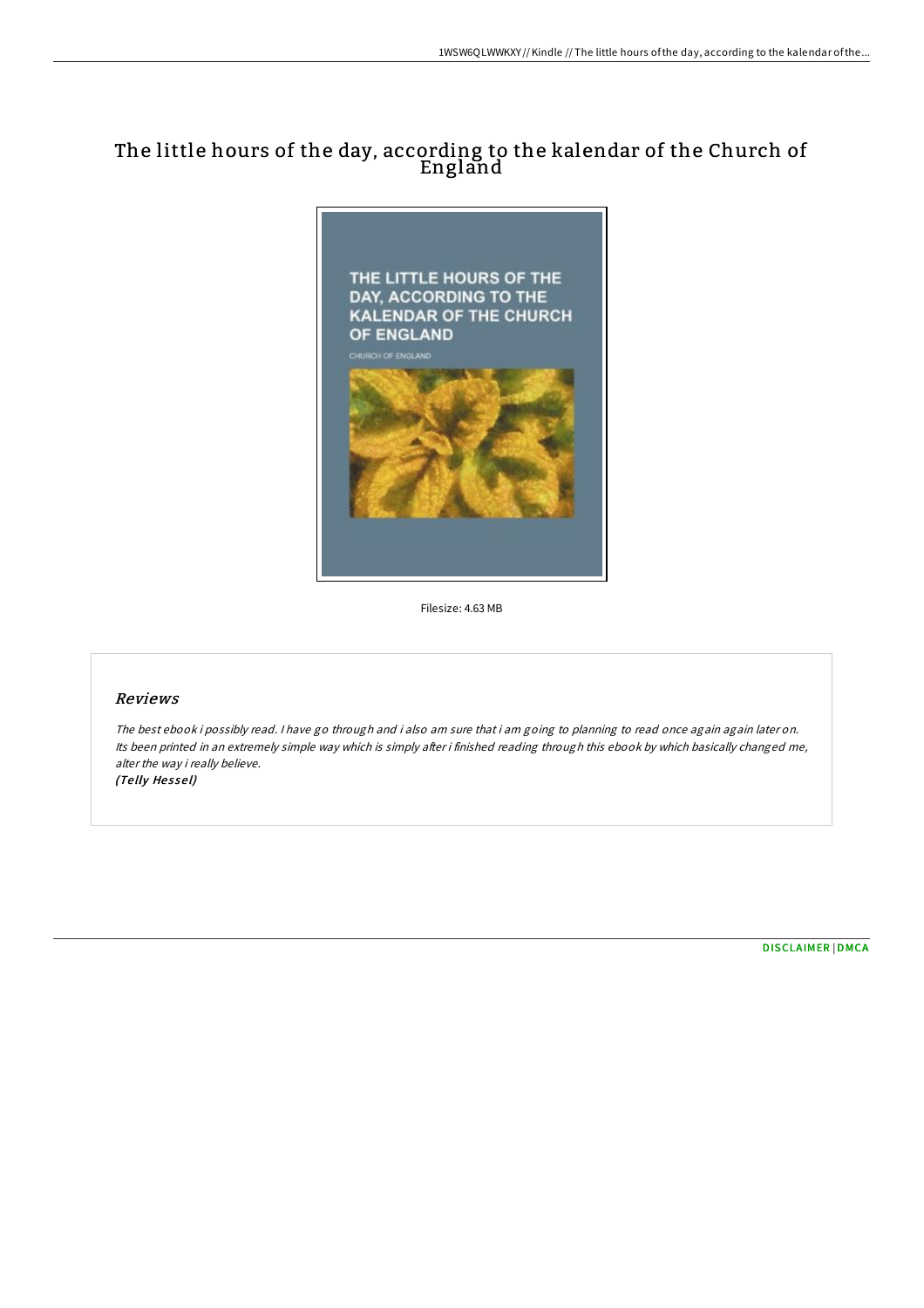# The little hours of the day, according to the kalendar of the Church of England



Filesize: 4.63 MB

## Reviews

The best ebook i possibly read. I have go through and i also am sure that i am going to planning to read once again again later on. Its been printed in an extremely simple way which is simply after i finished reading through this ebook by which basically changed me, alter the way i really believe. (Te lly He <sup>s</sup> se l)

[DISCLAIMER](http://almighty24.tech/disclaimer.html) | [DMCA](http://almighty24.tech/dmca.html)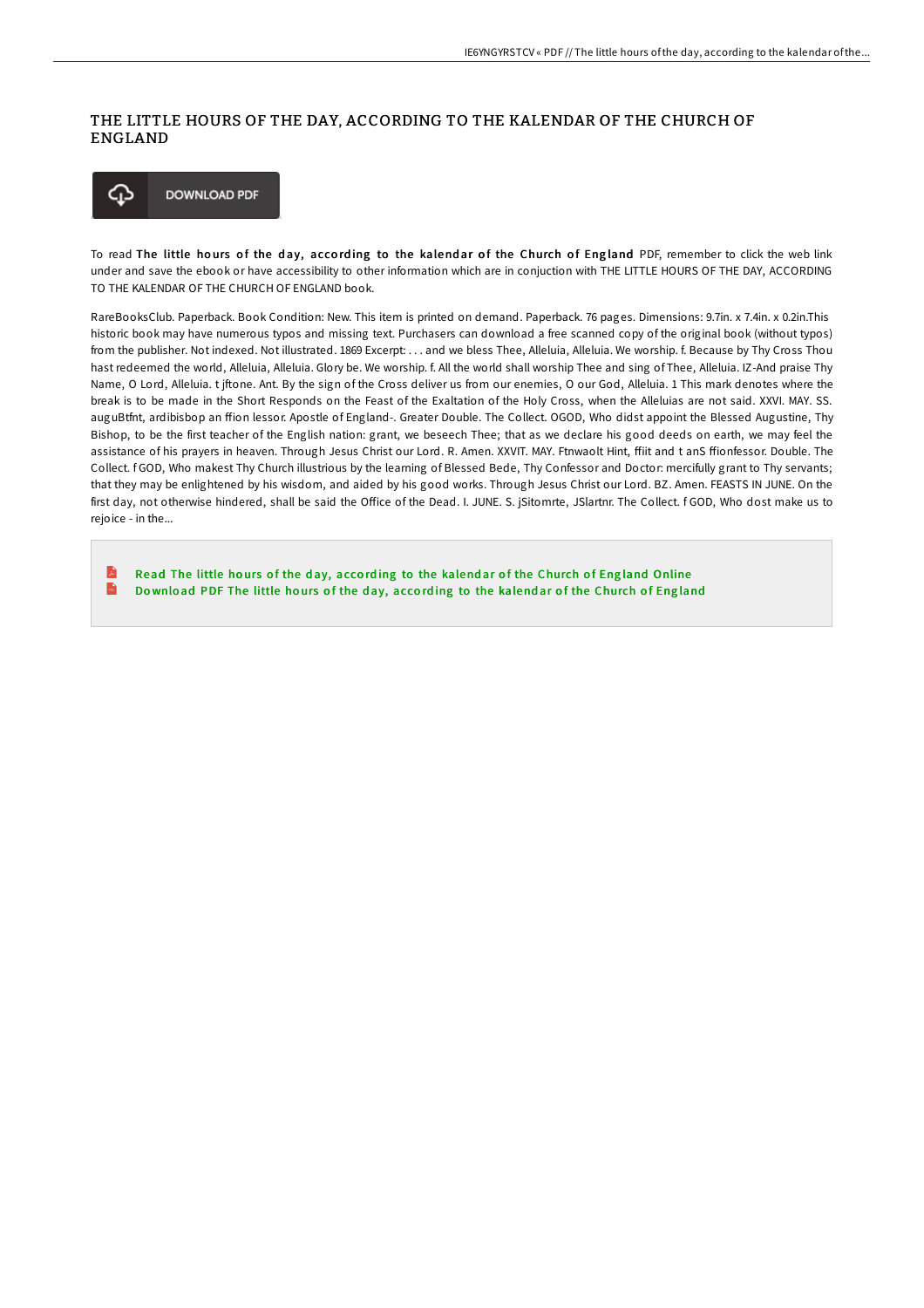### THE LITTLE HOURS OF THE DAY, ACCORDING TO THE KALENDAR OF THE CHURCH OF ENGLAND



To read The little hours of the day, according to the kalendar of the Church of England PDF, remember to click the web link under and save the ebook or have accessibility to other information which are in conjuction with THE LITTLE HOURS OF THE DAY, ACCORDING TO THE KALENDAR OF THE CHURCH OF ENGLAND book.

RareBooksClub. Paperback. Book Condition: New. This item is printed on demand. Paperback. 76 pages. Dimensions: 9.7in. x 7.4in. x 0.2in.This historic book may have numerous typos and missing text. Purchasers can download a free scanned copy of the original book (without typos) from the publisher. Not indexed. Not illustrated. 1869 Excerpt: . . . and we bless Thee, Alleluia, Alleluia. We worship. f. Because by Thy Cross Thou hast redeemed the world, Alleluia, Alleluia. Glory be. We worship. f. All the world shall worship Thee and sing of Thee, Alleluia. IZ-And praise Thy Name, O Lord, Alleluia. t jftone. Ant. By the sign of the Cross deliver us from our enemies, O our God, Alleluia. 1 This mark denotes where the break is to be made in the Short Responds on the Feast of the Exaltation of the Holy Cross, when the Alleluias are not said. XXVI. MAY. SS. auguBtfnt, ardibisbop an ffion lessor. Apostle of England-. Greater Double. The Collect. OGOD, Who didst appoint the Blessed Augustine, Thy Bishop, to be the first teacher of the English nation: grant, we beseech Thee; that as we declare his good deeds on earth, we may feel the assistance of his prayers in heaven. Through Jesus Christ our Lord. R. Amen. XXVIT. MAY. Ftnwaolt Hint, ffiit and t anS ffionfessor. Double. The Collect. f GOD, Who makest Thy Church illustrious by the learning of Blessed Bede, Thy Confessor and Doctor: mercifully grant to Thy servants; that they may be enlightened by his wisdom, and aided by his good works. Through Jesus Christ our Lord. BZ. Amen. FEASTS IN JUNE. On the first day, not otherwise hindered, shall be said the OGice of the Dead. I. JUNE. S. jSitomrte, JSlartnr. The Collect. f GOD, Who dost make us to rejoice - in the...

E Read The little hours of the day, according to the kalendar of the [Church](http://almighty24.tech/the-little-hours-of-the-day-according-to-the-kal.html) of England Online  $\overline{\mathbf{m}}$ Download PDF The little hours of the day, according to the kalendar of the [Church](http://almighty24.tech/the-little-hours-of-the-day-according-to-the-kal.html) of England